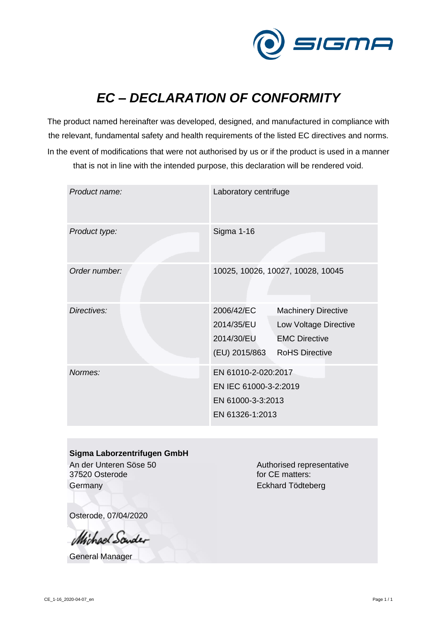

## *EC – DECLARATION OF CONFORMITY*

The product named hereinafter was developed, designed, and manufactured in compliance with the relevant, fundamental safety and health requirements of the listed EC directives and norms. In the event of modifications that were not authorised by us or if the product is used in a manner that is not in line with the intended purpose, this declaration will be rendered void.

| Product name: | Laboratory centrifuge                                                                |                                                                                                      |
|---------------|--------------------------------------------------------------------------------------|------------------------------------------------------------------------------------------------------|
| Product type: | Sigma 1-16                                                                           |                                                                                                      |
| Order number: | 10025, 10026, 10027, 10028, 10045                                                    |                                                                                                      |
| Directives:   | 2006/42/EC<br>2014/35/EU<br>2014/30/EU<br>(EU) 2015/863                              | <b>Machinery Directive</b><br>Low Voltage Directive<br><b>EMC Directive</b><br><b>RoHS Directive</b> |
| Normes:       | EN 61010-2-020:2017<br>EN IEC 61000-3-2:2019<br>EN 61000-3-3:2013<br>EN 61326-1:2013 |                                                                                                      |

## **Sigma Laborzentrifugen GmbH**

An der Unteren Söse 50 37520 Osterode **Germany** 

Authorised representative for CE matters: Eckhard Tödteberg

Osterode, 07/04/2020

Michael Sander

General Manager